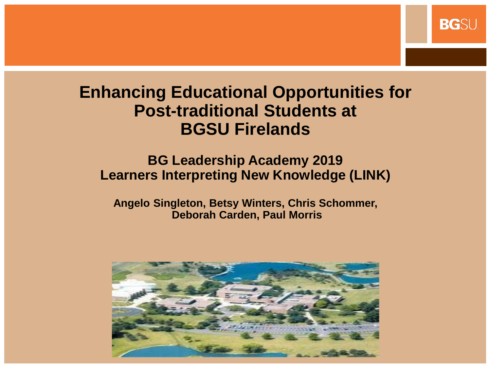#### **Enhancing Educational Opportunities for Post-traditional Students at BGSU Firelands**

**BG**SU

#### **BG Leadership Academy 2019 Learners Interpreting New Knowledge (LINK)**

**Angelo Singleton, Betsy Winters, Chris Schommer, Deborah Carden, Paul Morris**

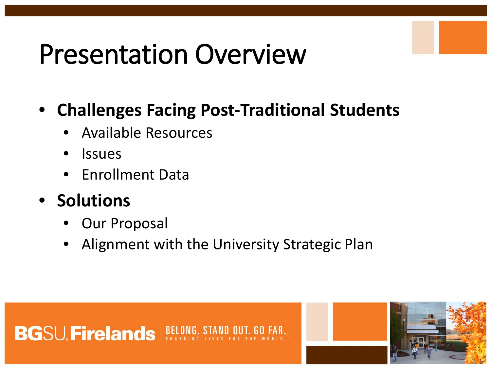# Presentation Overview

#### • **Challenges Facing Post-Traditional Students**

- Available Resources
- Issues
- Enrollment Data
- **Solutions** 
	- Our Proposal
	- Alignment with the University Strategic Plan



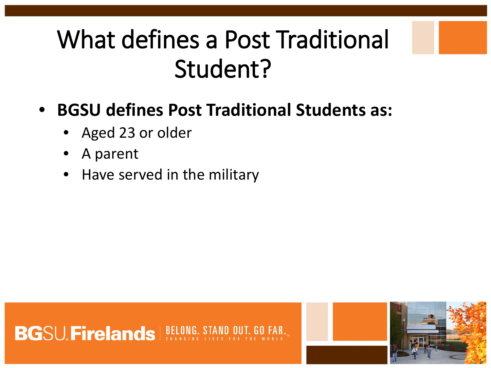## What defines a Post Traditional Student?

- **BGSU defines Post Traditional Students as:**
	- Aged 23 or older
	- A parent
	- Have served in the military



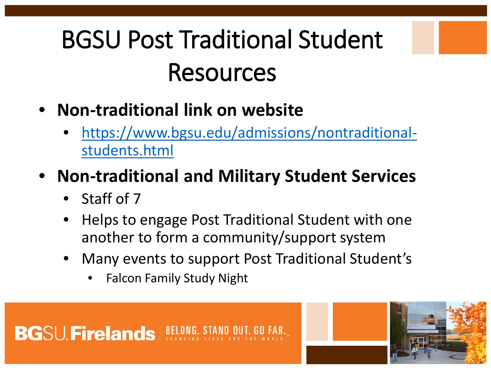# BGSU Post Traditional Student Resources

- **Non-traditional link on website**
	- [https://www.bgsu.edu/admissions/nontraditional](https://www.bgsu.edu/admissions/nontraditional-students.html)students.html

### • **Non-traditional and Military Student Services**

- Staff of 7
- Helps to engage Post Traditional Student with one another to form a community/support system
- Many events to support Post Traditional Student's
	- Falcon Family Study Night

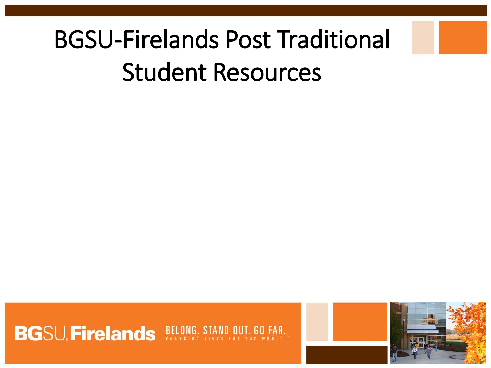## BGSU-Firelands Post Traditional Student Resources



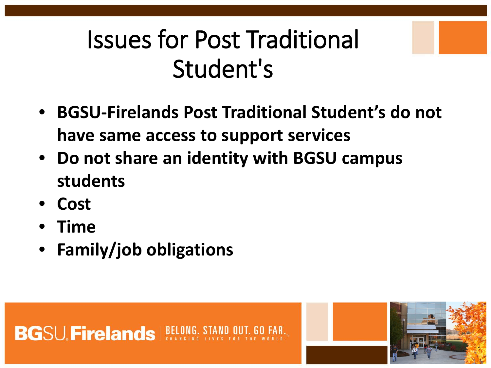### Issues for Post Traditional Student's

- **BGSU-Firelands Post Traditional Student's do not have same access to support services**
- **Do not share an identity with BGSU campus students**
- **Cost**
- **Time**
- **Family/job obligations**



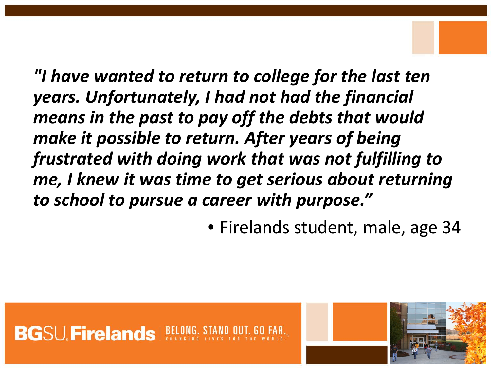*"I have wanted to return to college for the last ten years. Unfortunately, I had not had the financial means in the past to pay off the debts that would make it possible to return. After years of being frustrated with doing work that was not fulfilling to me, I knew it was time to get serious about returning to school to pursue a career with purpose."*

• Firelands student, male, age 34



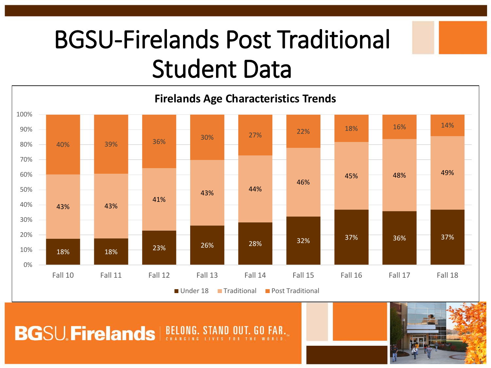## BGSU-Firelands Post Traditional Student Data



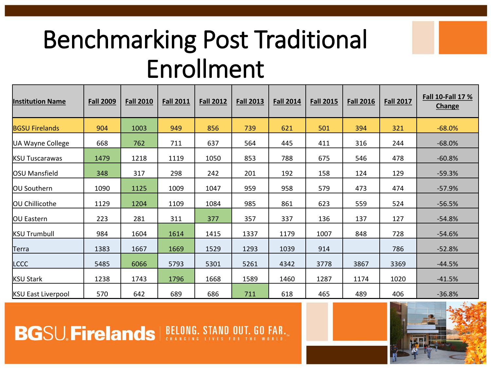## Benchmarking Post Traditional Enrollment

| <b>Institution Name</b>   | <b>Fall 2009</b> | <b>Fall 2010</b> | <b>Fall 2011</b> | <b>Fall 2012</b> | <b>Fall 2013</b> | <b>Fall 2014</b> | <b>Fall 2015</b> | <b>Fall 2016</b> | <b>Fall 2017</b> | Fall 10-Fall 17 %<br>Change |
|---------------------------|------------------|------------------|------------------|------------------|------------------|------------------|------------------|------------------|------------------|-----------------------------|
| <b>BGSU Firelands</b>     | 904              | 1003             | 949              | 856              | 739              | 621              | 501              | 394              | 321              | $-68.0%$                    |
| UA Wayne College          | 668              | 762              | 711              | 637              | 564              | 445              | 411              | 316              | 244              | $-68.0%$                    |
| <b>KSU Tuscarawas</b>     | 1479             | 1218             | 1119             | 1050             | 853              | 788              | 675              | 546              | 478              | $-60.8%$                    |
| <b>OSU Mansfield</b>      | 348              | 317              | 298              | 242              | 201              | 192              | 158              | 124              | 129              | $-59.3%$                    |
| OU Southern               | 1090             | 1125             | 1009             | 1047             | 959              | 958              | 579              | 473              | 474              | $-57.9%$                    |
| OU Chillicothe            | 1129             | 1204             | 1109             | 1084             | 985              | 861              | 623              | 559              | 524              | $-56.5%$                    |
| OU Eastern                | 223              | 281              | 311              | 377              | 357              | 337              | 136              | 137              | 127              | $-54.8%$                    |
| <b>KSU Trumbull</b>       | 984              | 1604             | 1614             | 1415             | 1337             | 1179             | 1007             | 848              | 728              | $-54.6%$                    |
| Terra                     | 1383             | 1667             | 1669             | 1529             | 1293             | 1039             | 914              |                  | 786              | $-52.8%$                    |
| LCCC                      | 5485             | 6066             | 5793             | 5301             | 5261             | 4342             | 3778             | 3867             | 3369             | $-44.5%$                    |
| <b>KSU Stark</b>          | 1238             | 1743             | 1796             | 1668             | 1589             | 1460             | 1287             | 1174             | 1020             | $-41.5%$                    |
| <b>KSU East Liverpool</b> | 570              | 642              | 689              | 686              | 711              | 618              | 465              | 489              | 406              | $-36.8%$                    |

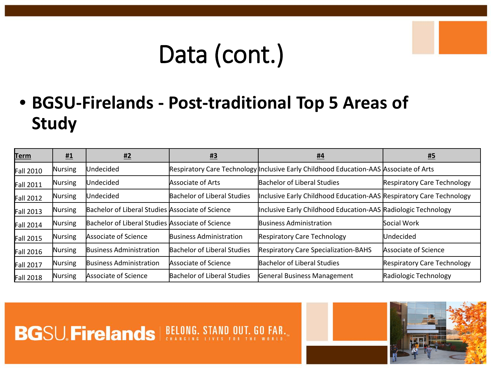## Data (cont.)

• **BGSU-Firelands - Post-traditional Top 5 Areas of Study**

| <b>Term</b> | <u>#1</u> | <u>#2</u>                                        | $\frac{113}{11}$                   | <u>#4</u>                                                                             | <u>#5</u>                          |
|-------------|-----------|--------------------------------------------------|------------------------------------|---------------------------------------------------------------------------------------|------------------------------------|
| Fall 2010   | Nursing   | Undecided                                        |                                    | Respiratory Care Technology Inclusive Early Childhood Education-AAS Associate of Arts |                                    |
| Fall 2011   | Nursing   | Undecided                                        | <b>Associate of Arts</b>           | <b>Bachelor of Liberal Studies</b>                                                    | <b>Respiratory Care Technology</b> |
| Fall 2012   | Nursing   | Undecided                                        | <b>Bachelor of Liberal Studies</b> | Inclusive Early Childhood Education-AAS Respiratory Care Technology                   |                                    |
| Fall 2013   | Nursing   | Bachelor of Liberal Studies Associate of Science |                                    | Inclusive Early Childhood Education-AAS Radiologic Technology                         |                                    |
| Fall 2014   | Nursing   | Bachelor of Liberal Studies Associate of Science |                                    | <b>Business Administration</b>                                                        | Social Work                        |
| Fall 2015   | Nursing   | Associate of Science                             | <b>Business Administration</b>     | <b>Respiratory Care Technology</b>                                                    | Undecided                          |
| Fall 2016   | Nursing   | <b>Business Administration</b>                   | <b>Bachelor of Liberal Studies</b> | <b>Respiratory Care Specialization-BAHS</b>                                           | Associate of Science               |
| Fall 2017   | Nursing   | Business Administration                          | Associate of Science               | <b>Bachelor of Liberal Studies</b>                                                    | <b>Respiratory Care Technology</b> |
| Fall 2018   | Nursing   | Associate of Science                             | <b>Bachelor of Liberal Studies</b> | General Business Management                                                           | Radiologic Technology              |

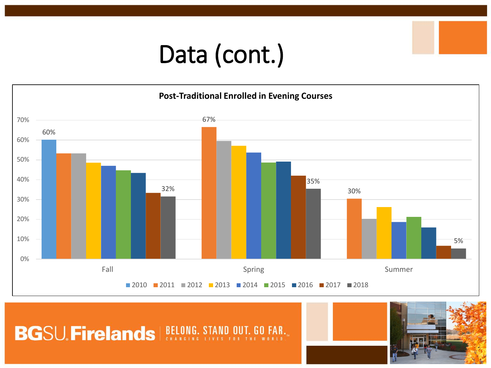## Data (cont.)



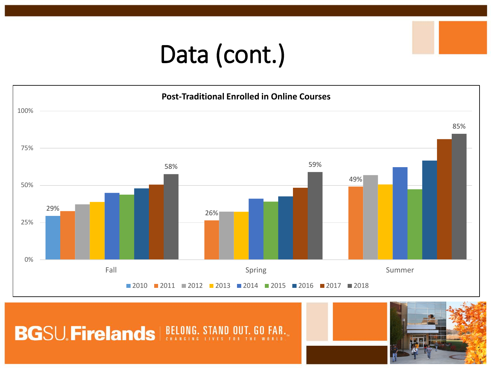## Data (cont.)



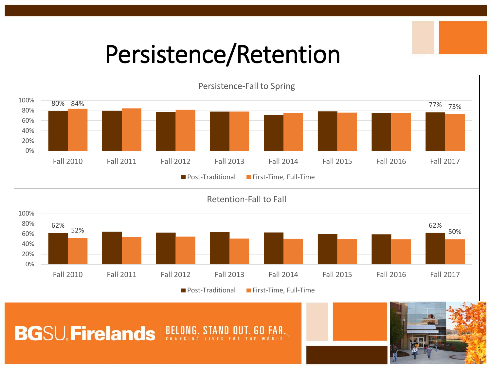### Persistence/Retention



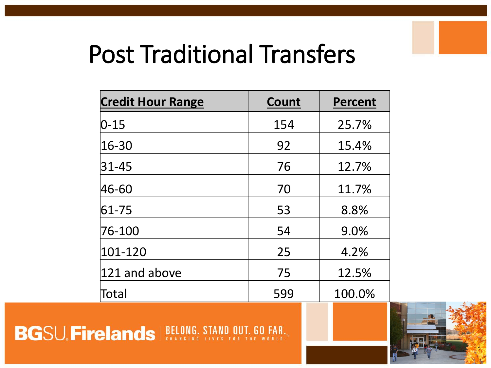### Post Traditional Transfers

| <b>Credit Hour Range</b> | <b>Count</b> | <b>Percent</b> |
|--------------------------|--------------|----------------|
| $ 0-15 $                 | 154          | 25.7%          |
| 16-30                    | 92           | 15.4%          |
| $ 31 - 45 $              | 76           | 12.7%          |
| 46-60                    | 70           | 11.7%          |
| $ 61 - 75$               | 53           | 8.8%           |
| 76-100                   | 54           | 9.0%           |
| 101-120                  | 25           | 4.2%           |
| $ 121$ and above         | 75           | 12.5%          |
| Total                    | 599          | 100.0%         |

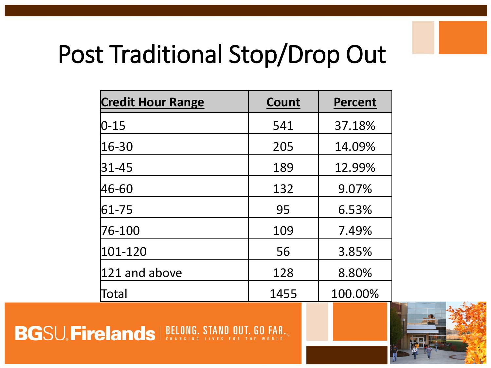## Post Traditional Stop/Drop Out

| <b>Credit Hour Range</b> | Count | <b>Percent</b> |
|--------------------------|-------|----------------|
| $ 0 - 15 $               | 541   | 37.18%         |
| 16-30                    | 205   | 14.09%         |
| $ 31 - 45 $              | 189   | 12.99%         |
| 46-60                    | 132   | 9.07%          |
| 61-75                    | 95    | 6.53%          |
| 76-100                   | 109   | 7.49%          |
| 101-120                  | 56    | 3.85%          |
| $ 121$ and above         | 128   | 8.80%          |
| Total                    | 1455  | 100.00%        |

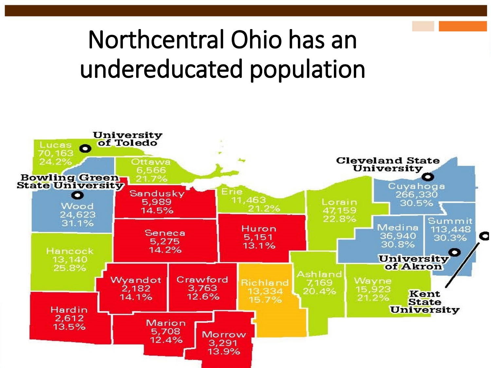## Northcentral Ohio has an undereducated population

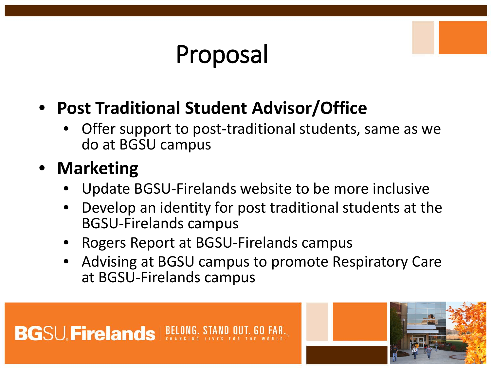## Proposal

### • **Post Traditional Student Advisor/Office**

• Offer support to post-traditional students, same as we do at BGSU campus

### • **Marketing**

- Update BGSU-Firelands website to be more inclusive
- Develop an identity for post traditional students at the BGSU-Firelands campus
- Rogers Report at BGSU-Firelands campus
- Advising at BGSU campus to promote Respiratory Care at BGSU-Firelands campus

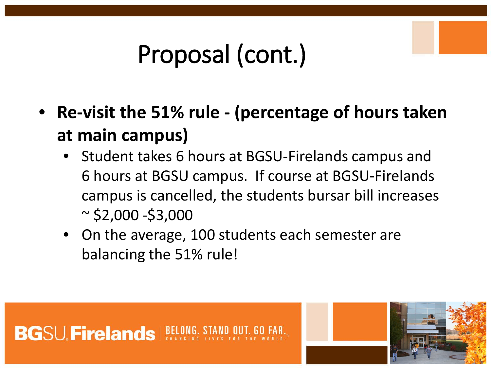- **Re-visit the 51% rule - (percentage of hours taken at main campus)**
	- Student takes 6 hours at BGSU-Firelands campus and 6 hours at BGSU campus. If course at BGSU-Firelands campus is cancelled, the students bursar bill increases  $\sim$  \$2,000 -\$3,000
	- On the average, 100 students each semester are balancing the 51% rule!



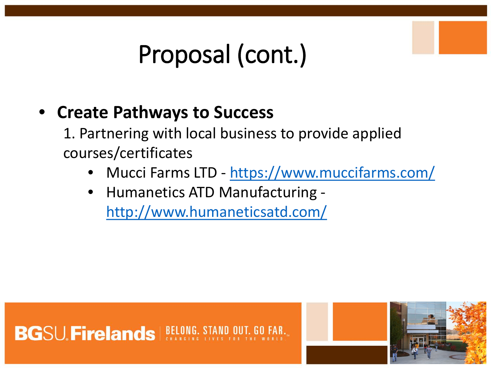#### • **Create Pathways to Success**

1. Partnering with local business to provide applied courses/certificates

- Mucci Farms LTD <https://www.muccifarms.com/>
- Humanetics ATD Manufacturing <http://www.humaneticsatd.com/>

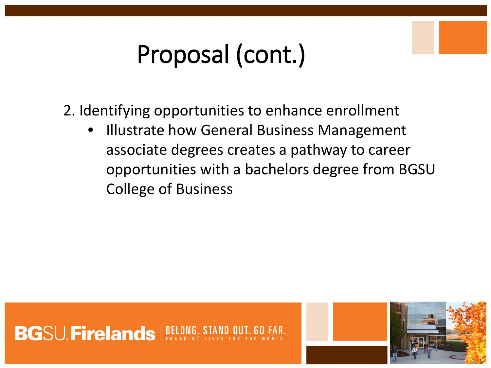2. Identifying opportunities to enhance enrollment

**Illustrate how General Business Management** associate degrees creates a pathway to career opportunities with a bachelors degree from BGSU College of Business



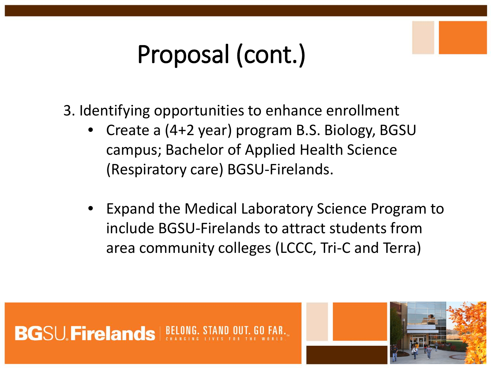3. Identifying opportunities to enhance enrollment

- Create a (4+2 year) program B.S. Biology, BGSU campus; Bachelor of Applied Health Science (Respiratory care) BGSU-Firelands.
- Expand the Medical Laboratory Science Program to include BGSU-Firelands to attract students from area community colleges (LCCC, Tri-C and Terra)



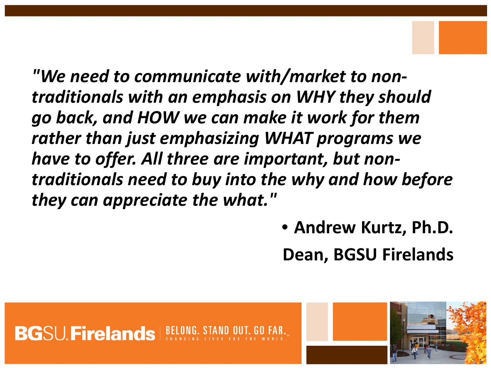*"We need to communicate with/market to nontraditionals with an emphasis on WHY they should go back, and HOW we can make it work for them rather than just emphasizing WHAT programs we have to offer. All three are important, but nontraditionals need to buy into the why and how before they can appreciate the what."* 

> • **Andrew Kurtz, Ph.D. Dean, BGSU Firelands**

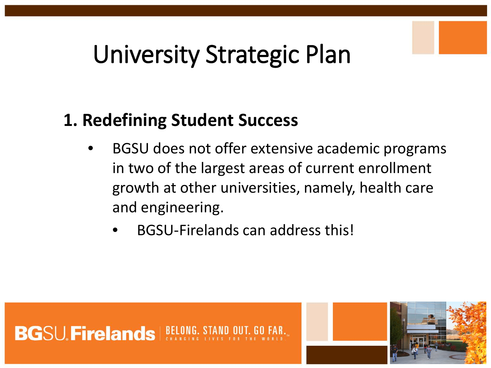### University Strategic Plan

### **1. Redefining Student Success**

- BGSU does not offer extensive academic programs in two of the largest areas of current enrollment growth at other universities, namely, health care and engineering.
	- BGSU-Firelands can address this!



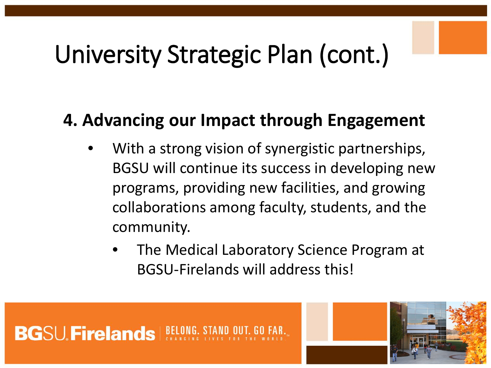## University Strategic Plan (cont.)

#### **4. Advancing our Impact through Engagement**

- With a strong vision of synergistic partnerships, BGSU will continue its success in developing new programs, providing new facilities, and growing collaborations among faculty, students, and the community.
	- The Medical Laboratory Science Program at BGSU-Firelands will address this!

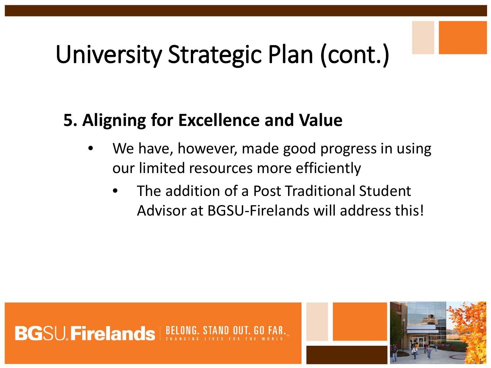## University Strategic Plan (cont.)

### **5. Aligning for Excellence and Value**

- We have, however, made good progress in using our limited resources more efficiently
	- The addition of a Post Traditional Student Advisor at BGSU-Firelands will address this!